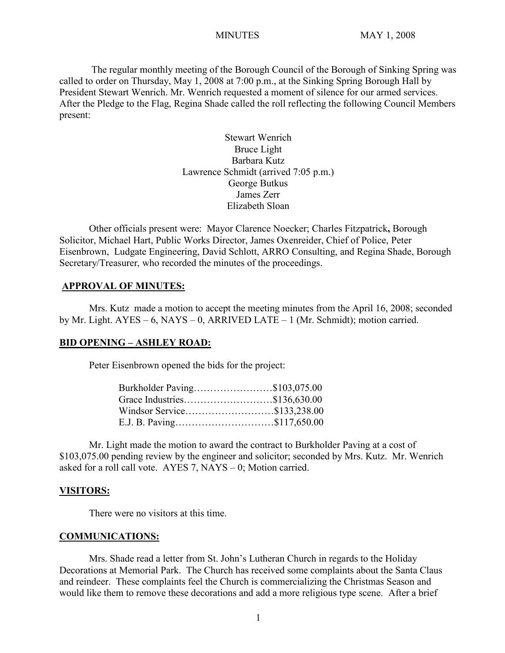The regular monthly meeting of the Borough Council of the Borough of Sinking Spring was called to order on Thursday, May 1, 2008 at 7:00 p.m., at the Sinking Spring Borough Hall by President Stewart Wenrich. Mr. Wenrich requested a moment of silence for our armed services. After the Pledge to the Flag, Regina Shade called the roll reflecting the following Council Members present:

> Stewart Wenrich Bruce Light Barbara Kutz Lawrence Schmidt (arrived 7:05 p.m.) George Butkus James Zerr Elizabeth Sloan

Other officials present were: Mayor Clarence Noecker; Charles Fitzpatrick**,** Borough Solicitor, Michael Hart, Public Works Director, James Oxenreider, Chief of Police, Peter Eisenbrown, Ludgate Engineering, David Schlott, ARRO Consulting, and Regina Shade, Borough Secretary/Treasurer, who recorded the minutes of the proceedings.

#### **APPROVAL OF MINUTES:**

Mrs. Kutz made a motion to accept the meeting minutes from the April 16, 2008; seconded by Mr. Light. AYES – 6, NAYS – 0, ARRIVED LATE – 1 (Mr. Schmidt); motion carried.

#### **BID OPENING – ASHLEY ROAD:**

Peter Eisenbrown opened the bids for the project:

| Burkholder Paving\$103,075.00 |  |
|-------------------------------|--|
| Grace Industries\$136,630.00  |  |
| Windsor Service\$133,238.00   |  |
| E.J. B. Paving\$117,650.00    |  |
|                               |  |

Mr. Light made the motion to award the contract to Burkholder Paving at a cost of \$103,075.00 pending review by the engineer and solicitor; seconded by Mrs. Kutz. Mr. Wenrich asked for a roll call vote. AYES 7, NAYS – 0; Motion carried.

#### **VISITORS:**

There were no visitors at this time.

#### **COMMUNICATIONS:**

Mrs. Shade read a letter from St. John's Lutheran Church in regards to the Holiday Decorations at Memorial Park. The Church has received some complaints about the Santa Claus and reindeer. These complaints feel the Church is commercializing the Christmas Season and would like them to remove these decorations and add a more religious type scene. After a brief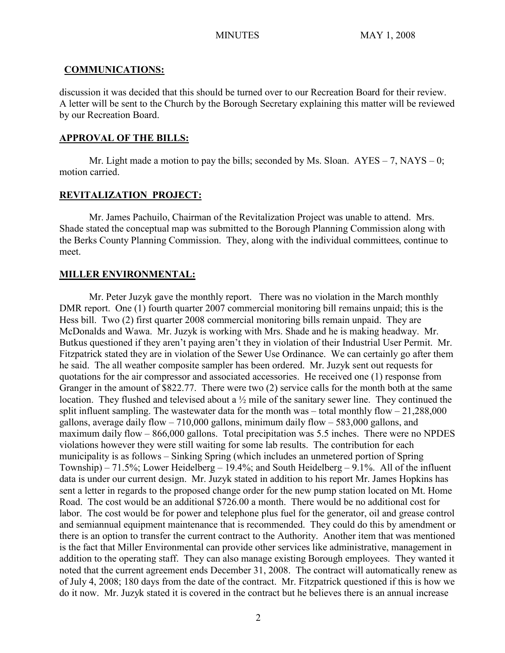## **COMMUNICATIONS:**

discussion it was decided that this should be turned over to our Recreation Board for their review. A letter will be sent to the Church by the Borough Secretary explaining this matter will be reviewed by our Recreation Board.

## **APPROVAL OF THE BILLS:**

Mr. Light made a motion to pay the bills; seconded by Ms. Sloan.  $AYES - 7$ ,  $NAYS - 0$ ; motion carried.

## **REVITALIZATION PROJECT:**

Mr. James Pachuilo, Chairman of the Revitalization Project was unable to attend. Mrs. Shade stated the conceptual map was submitted to the Borough Planning Commission along with the Berks County Planning Commission. They, along with the individual committees, continue to meet.

## **MILLER ENVIRONMENTAL:**

Mr. Peter Juzyk gave the monthly report. There was no violation in the March monthly DMR report. One (1) fourth quarter 2007 commercial monitoring bill remains unpaid; this is the Hess bill. Two (2) first quarter 2008 commercial monitoring bills remain unpaid. They are McDonalds and Wawa. Mr. Juzyk is working with Mrs. Shade and he is making headway. Mr. Butkus questioned if they aren't paying aren't they in violation of their Industrial User Permit. Mr. Fitzpatrick stated they are in violation of the Sewer Use Ordinance. We can certainly go after them he said. The all weather composite sampler has been ordered. Mr. Juzyk sent out requests for quotations for the air compressor and associated accessories. He received one (1) response from Granger in the amount of \$822.77. There were two (2) service calls for the month both at the same location. They flushed and televised about a ½ mile of the sanitary sewer line. They continued the split influent sampling. The wastewater data for the month was – total monthly flow  $-21,288,000$ gallons, average daily flow – 710,000 gallons, minimum daily flow – 583,000 gallons, and maximum daily flow – 866,000 gallons. Total precipitation was 5.5 inches. There were no NPDES violations however they were still waiting for some lab results. The contribution for each municipality is as follows – Sinking Spring (which includes an unmetered portion of Spring Township) – 71.5%; Lower Heidelberg – 19.4%; and South Heidelberg – 9.1%. All of the influent data is under our current design. Mr. Juzyk stated in addition to his report Mr. James Hopkins has sent a letter in regards to the proposed change order for the new pump station located on Mt. Home Road. The cost would be an additional \$726.00 a month. There would be no additional cost for labor. The cost would be for power and telephone plus fuel for the generator, oil and grease control and semiannual equipment maintenance that is recommended. They could do this by amendment or there is an option to transfer the current contract to the Authority. Another item that was mentioned is the fact that Miller Environmental can provide other services like administrative, management in addition to the operating staff. They can also manage existing Borough employees. They wanted it noted that the current agreement ends December 31, 2008. The contract will automatically renew as of July 4, 2008; 180 days from the date of the contract. Mr. Fitzpatrick questioned if this is how we do it now. Mr. Juzyk stated it is covered in the contract but he believes there is an annual increase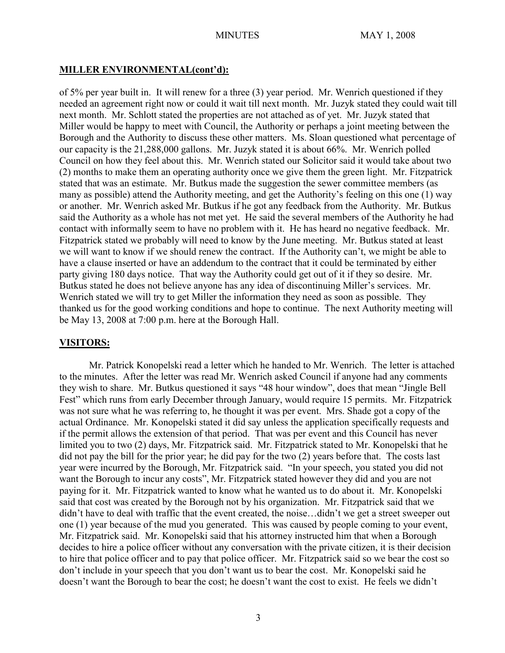## **MILLER ENVIRONMENTAL(cont'd):**

of 5% per year built in. It will renew for a three (3) year period. Mr. Wenrich questioned if they needed an agreement right now or could it wait till next month. Mr. Juzyk stated they could wait till next month. Mr. Schlott stated the properties are not attached as of yet. Mr. Juzyk stated that Miller would be happy to meet with Council, the Authority or perhaps a joint meeting between the Borough and the Authority to discuss these other matters. Ms. Sloan questioned what percentage of our capacity is the 21,288,000 gallons. Mr. Juzyk stated it is about 66%. Mr. Wenrich polled Council on how they feel about this. Mr. Wenrich stated our Solicitor said it would take about two (2) months to make them an operating authority once we give them the green light. Mr. Fitzpatrick stated that was an estimate. Mr. Butkus made the suggestion the sewer committee members (as many as possible) attend the Authority meeting, and get the Authority's feeling on this one (1) way or another. Mr. Wenrich asked Mr. Butkus if he got any feedback from the Authority. Mr. Butkus said the Authority as a whole has not met yet. He said the several members of the Authority he had contact with informally seem to have no problem with it. He has heard no negative feedback. Mr. Fitzpatrick stated we probably will need to know by the June meeting. Mr. Butkus stated at least we will want to know if we should renew the contract. If the Authority can't, we might be able to have a clause inserted or have an addendum to the contract that it could be terminated by either party giving 180 days notice. That way the Authority could get out of it if they so desire. Mr. Butkus stated he does not believe anyone has any idea of discontinuing Miller's services. Mr. Wenrich stated we will try to get Miller the information they need as soon as possible. They thanked us for the good working conditions and hope to continue. The next Authority meeting will be May 13, 2008 at 7:00 p.m. here at the Borough Hall.

## **VISITORS:**

Mr. Patrick Konopelski read a letter which he handed to Mr. Wenrich. The letter is attached to the minutes. After the letter was read Mr. Wenrich asked Council if anyone had any comments they wish to share. Mr. Butkus questioned it says "48 hour window", does that mean "Jingle Bell Fest" which runs from early December through January, would require 15 permits. Mr. Fitzpatrick was not sure what he was referring to, he thought it was per event. Mrs. Shade got a copy of the actual Ordinance. Mr. Konopelski stated it did say unless the application specifically requests and if the permit allows the extension of that period. That was per event and this Council has never limited you to two (2) days, Mr. Fitzpatrick said. Mr. Fitzpatrick stated to Mr. Konopelski that he did not pay the bill for the prior year; he did pay for the two (2) years before that. The costs last year were incurred by the Borough, Mr. Fitzpatrick said. "In your speech, you stated you did not want the Borough to incur any costs", Mr. Fitzpatrick stated however they did and you are not paying for it. Mr. Fitzpatrick wanted to know what he wanted us to do about it. Mr. Konopelski said that cost was created by the Borough not by his organization. Mr. Fitzpatrick said that we didn't have to deal with traffic that the event created, the noise…didn't we get a street sweeper out one (1) year because of the mud you generated. This was caused by people coming to your event, Mr. Fitzpatrick said. Mr. Konopelski said that his attorney instructed him that when a Borough decides to hire a police officer without any conversation with the private citizen, it is their decision to hire that police officer and to pay that police officer. Mr. Fitzpatrick said so we bear the cost so don't include in your speech that you don't want us to bear the cost. Mr. Konopelski said he doesn't want the Borough to bear the cost; he doesn't want the cost to exist. He feels we didn't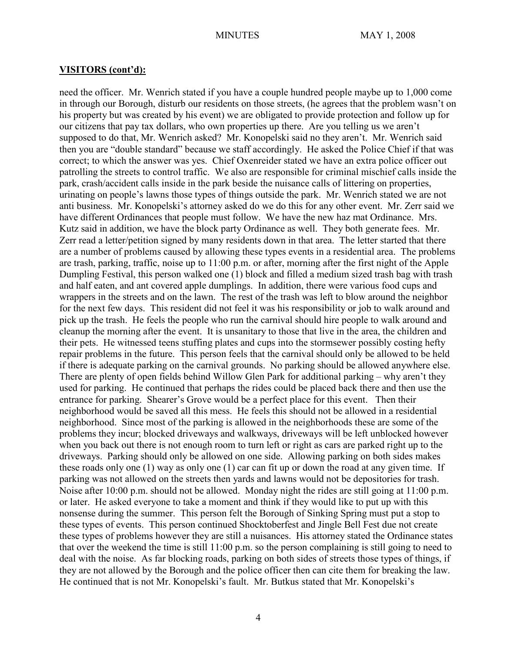need the officer. Mr. Wenrich stated if you have a couple hundred people maybe up to 1,000 come in through our Borough, disturb our residents on those streets, (he agrees that the problem wasn't on his property but was created by his event) we are obligated to provide protection and follow up for our citizens that pay tax dollars, who own properties up there. Are you telling us we aren't supposed to do that, Mr. Wenrich asked? Mr. Konopelski said no they aren't. Mr. Wenrich said then you are "double standard" because we staff accordingly. He asked the Police Chief if that was correct; to which the answer was yes. Chief Oxenreider stated we have an extra police officer out patrolling the streets to control traffic. We also are responsible for criminal mischief calls inside the park, crash/accident calls inside in the park beside the nuisance calls of littering on properties, urinating on people's lawns those types of things outside the park. Mr. Wenrich stated we are not anti business. Mr. Konopelski's attorney asked do we do this for any other event. Mr. Zerr said we have different Ordinances that people must follow. We have the new haz mat Ordinance. Mrs. Kutz said in addition, we have the block party Ordinance as well. They both generate fees. Mr. Zerr read a letter/petition signed by many residents down in that area. The letter started that there are a number of problems caused by allowing these types events in a residential area. The problems are trash, parking, traffic, noise up to 11:00 p.m. or after, morning after the first night of the Apple Dumpling Festival, this person walked one (1) block and filled a medium sized trash bag with trash and half eaten, and ant covered apple dumplings. In addition, there were various food cups and wrappers in the streets and on the lawn. The rest of the trash was left to blow around the neighbor for the next few days. This resident did not feel it was his responsibility or job to walk around and pick up the trash. He feels the people who run the carnival should hire people to walk around and cleanup the morning after the event. It is unsanitary to those that live in the area, the children and their pets. He witnessed teens stuffing plates and cups into the stormsewer possibly costing hefty repair problems in the future. This person feels that the carnival should only be allowed to be held if there is adequate parking on the carnival grounds. No parking should be allowed anywhere else. There are plenty of open fields behind Willow Glen Park for additional parking – why aren't they used for parking. He continued that perhaps the rides could be placed back there and then use the entrance for parking. Shearer's Grove would be a perfect place for this event. Then their neighborhood would be saved all this mess. He feels this should not be allowed in a residential neighborhood. Since most of the parking is allowed in the neighborhoods these are some of the problems they incur; blocked driveways and walkways, driveways will be left unblocked however when you back out there is not enough room to turn left or right as cars are parked right up to the driveways. Parking should only be allowed on one side. Allowing parking on both sides makes these roads only one (1) way as only one (1) car can fit up or down the road at any given time. If parking was not allowed on the streets then yards and lawns would not be depositories for trash. Noise after 10:00 p.m. should not be allowed. Monday night the rides are still going at 11:00 p.m. or later. He asked everyone to take a moment and think if they would like to put up with this nonsense during the summer. This person felt the Borough of Sinking Spring must put a stop to these types of events. This person continued Shocktoberfest and Jingle Bell Fest due not create these types of problems however they are still a nuisances. His attorney stated the Ordinance states that over the weekend the time is still 11:00 p.m. so the person complaining is still going to need to deal with the noise. As far blocking roads, parking on both sides of streets those types of things, if they are not allowed by the Borough and the police officer then can cite them for breaking the law. He continued that is not Mr. Konopelski's fault. Mr. Butkus stated that Mr. Konopelski's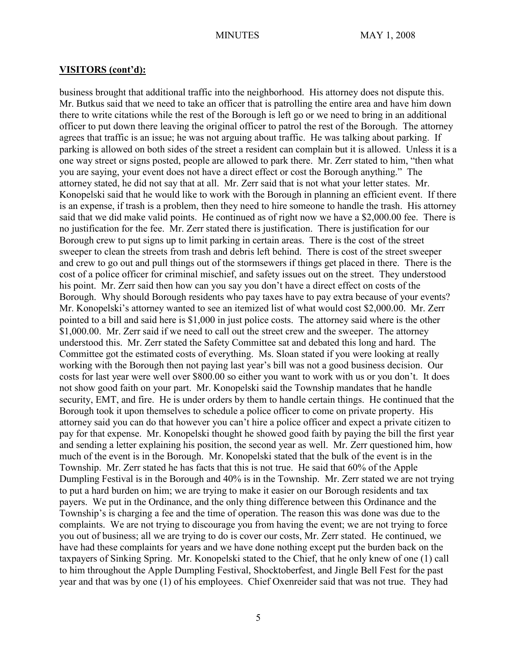business brought that additional traffic into the neighborhood. His attorney does not dispute this. Mr. Butkus said that we need to take an officer that is patrolling the entire area and have him down there to write citations while the rest of the Borough is left go or we need to bring in an additional officer to put down there leaving the original officer to patrol the rest of the Borough. The attorney agrees that traffic is an issue; he was not arguing about traffic. He was talking about parking. If parking is allowed on both sides of the street a resident can complain but it is allowed. Unless it is a one way street or signs posted, people are allowed to park there. Mr. Zerr stated to him, "then what you are saying, your event does not have a direct effect or cost the Borough anything." The attorney stated, he did not say that at all. Mr. Zerr said that is not what your letter states. Mr. Konopelski said that he would like to work with the Borough in planning an efficient event. If there is an expense, if trash is a problem, then they need to hire someone to handle the trash. His attorney said that we did make valid points. He continued as of right now we have a \$2,000.00 fee. There is no justification for the fee. Mr. Zerr stated there is justification. There is justification for our Borough crew to put signs up to limit parking in certain areas. There is the cost of the street sweeper to clean the streets from trash and debris left behind. There is cost of the street sweeper and crew to go out and pull things out of the stormsewers if things get placed in there. There is the cost of a police officer for criminal mischief, and safety issues out on the street. They understood his point. Mr. Zerr said then how can you say you don't have a direct effect on costs of the Borough. Why should Borough residents who pay taxes have to pay extra because of your events? Mr. Konopelski's attorney wanted to see an itemized list of what would cost \$2,000.00. Mr. Zerr pointed to a bill and said here is \$1,000 in just police costs. The attorney said where is the other \$1,000.00. Mr. Zerr said if we need to call out the street crew and the sweeper. The attorney understood this. Mr. Zerr stated the Safety Committee sat and debated this long and hard. The Committee got the estimated costs of everything. Ms. Sloan stated if you were looking at really working with the Borough then not paying last year's bill was not a good business decision. Our costs for last year were well over \$800.00 so either you want to work with us or you don't. It does not show good faith on your part. Mr. Konopelski said the Township mandates that he handle security, EMT, and fire. He is under orders by them to handle certain things. He continued that the Borough took it upon themselves to schedule a police officer to come on private property. His attorney said you can do that however you can't hire a police officer and expect a private citizen to pay for that expense. Mr. Konopelski thought he showed good faith by paying the bill the first year and sending a letter explaining his position, the second year as well. Mr. Zerr questioned him, how much of the event is in the Borough. Mr. Konopelski stated that the bulk of the event is in the Township. Mr. Zerr stated he has facts that this is not true. He said that 60% of the Apple Dumpling Festival is in the Borough and 40% is in the Township. Mr. Zerr stated we are not trying to put a hard burden on him; we are trying to make it easier on our Borough residents and tax payers. We put in the Ordinance, and the only thing difference between this Ordinance and the Township's is charging a fee and the time of operation. The reason this was done was due to the complaints. We are not trying to discourage you from having the event; we are not trying to force you out of business; all we are trying to do is cover our costs, Mr. Zerr stated. He continued, we have had these complaints for years and we have done nothing except put the burden back on the taxpayers of Sinking Spring. Mr. Konopelski stated to the Chief, that he only knew of one (1) call to him throughout the Apple Dumpling Festival, Shocktoberfest, and Jingle Bell Fest for the past year and that was by one (1) of his employees. Chief Oxenreider said that was not true. They had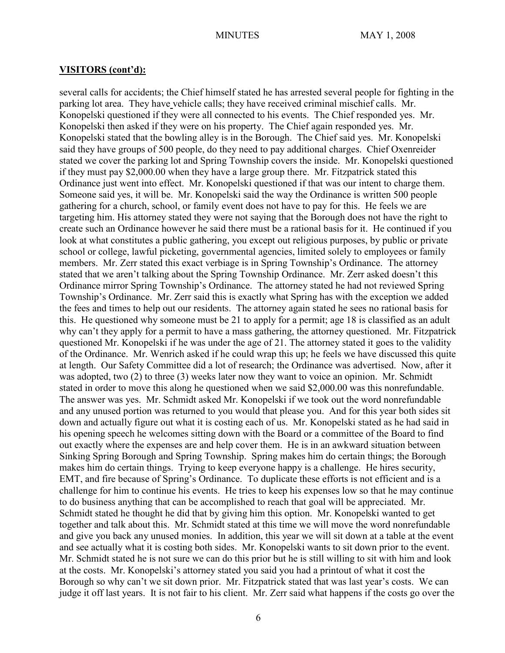several calls for accidents; the Chief himself stated he has arrested several people for fighting in the parking lot area. They have vehicle calls; they have received criminal mischief calls. Mr. Konopelski questioned if they were all connected to his events. The Chief responded yes. Mr. Konopelski then asked if they were on his property. The Chief again responded yes. Mr. Konopelski stated that the bowling alley is in the Borough. The Chief said yes. Mr. Konopelski said they have groups of 500 people, do they need to pay additional charges. Chief Oxenreider stated we cover the parking lot and Spring Township covers the inside. Mr. Konopelski questioned if they must pay \$2,000.00 when they have a large group there. Mr. Fitzpatrick stated this Ordinance just went into effect. Mr. Konopelski questioned if that was our intent to charge them. Someone said yes, it will be. Mr. Konopelski said the way the Ordinance is written 500 people gathering for a church, school, or family event does not have to pay for this. He feels we are targeting him. His attorney stated they were not saying that the Borough does not have the right to create such an Ordinance however he said there must be a rational basis for it. He continued if you look at what constitutes a public gathering, you except out religious purposes, by public or private school or college, lawful picketing, governmental agencies, limited solely to employees or family members. Mr. Zerr stated this exact verbiage is in Spring Township's Ordinance. The attorney stated that we aren't talking about the Spring Township Ordinance. Mr. Zerr asked doesn't this Ordinance mirror Spring Township's Ordinance. The attorney stated he had not reviewed Spring Township's Ordinance. Mr. Zerr said this is exactly what Spring has with the exception we added the fees and times to help out our residents. The attorney again stated he sees no rational basis for this. He questioned why someone must be 21 to apply for a permit; age 18 is classified as an adult why can't they apply for a permit to have a mass gathering, the attorney questioned. Mr. Fitzpatrick questioned Mr. Konopelski if he was under the age of 21. The attorney stated it goes to the validity of the Ordinance. Mr. Wenrich asked if he could wrap this up; he feels we have discussed this quite at length. Our Safety Committee did a lot of research; the Ordinance was advertised. Now, after it was adopted, two (2) to three (3) weeks later now they want to voice an opinion. Mr. Schmidt stated in order to move this along he questioned when we said \$2,000.00 was this nonrefundable. The answer was yes. Mr. Schmidt asked Mr. Konopelski if we took out the word nonrefundable and any unused portion was returned to you would that please you. And for this year both sides sit down and actually figure out what it is costing each of us. Mr. Konopelski stated as he had said in his opening speech he welcomes sitting down with the Board or a committee of the Board to find out exactly where the expenses are and help cover them. He is in an awkward situation between Sinking Spring Borough and Spring Township. Spring makes him do certain things; the Borough makes him do certain things. Trying to keep everyone happy is a challenge. He hires security, EMT, and fire because of Spring's Ordinance. To duplicate these efforts is not efficient and is a challenge for him to continue his events. He tries to keep his expenses low so that he may continue to do business anything that can be accomplished to reach that goal will be appreciated. Mr. Schmidt stated he thought he did that by giving him this option. Mr. Konopelski wanted to get together and talk about this. Mr. Schmidt stated at this time we will move the word nonrefundable and give you back any unused monies. In addition, this year we will sit down at a table at the event and see actually what it is costing both sides. Mr. Konopelski wants to sit down prior to the event. Mr. Schmidt stated he is not sure we can do this prior but he is still willing to sit with him and look at the costs. Mr. Konopelski's attorney stated you said you had a printout of what it cost the Borough so why can't we sit down prior. Mr. Fitzpatrick stated that was last year's costs. We can judge it off last years. It is not fair to his client. Mr. Zerr said what happens if the costs go over the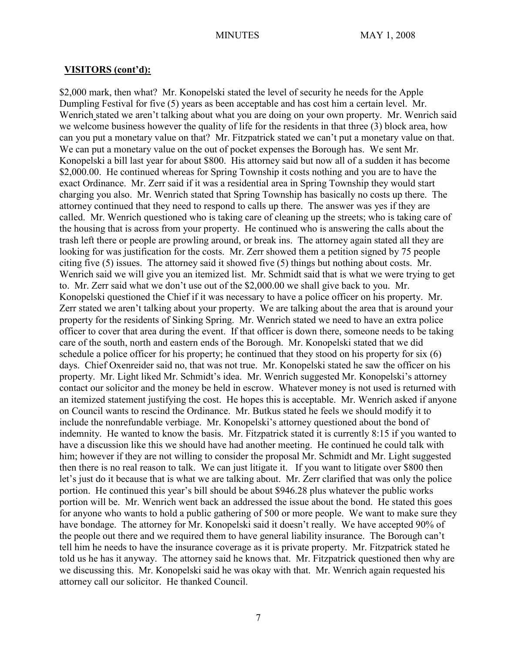\$2,000 mark, then what? Mr. Konopelski stated the level of security he needs for the Apple Dumpling Festival for five (5) years as been acceptable and has cost him a certain level. Mr. Wenrich stated we aren't talking about what you are doing on your own property. Mr. Wenrich said we welcome business however the quality of life for the residents in that three (3) block area, how can you put a monetary value on that? Mr. Fitzpatrick stated we can't put a monetary value on that. We can put a monetary value on the out of pocket expenses the Borough has. We sent Mr. Konopelski a bill last year for about \$800. His attorney said but now all of a sudden it has become \$2,000.00. He continued whereas for Spring Township it costs nothing and you are to have the exact Ordinance. Mr. Zerr said if it was a residential area in Spring Township they would start charging you also. Mr. Wenrich stated that Spring Township has basically no costs up there. The attorney continued that they need to respond to calls up there. The answer was yes if they are called. Mr. Wenrich questioned who is taking care of cleaning up the streets; who is taking care of the housing that is across from your property. He continued who is answering the calls about the trash left there or people are prowling around, or break ins. The attorney again stated all they are looking for was justification for the costs. Mr. Zerr showed them a petition signed by 75 people citing five (5) issues. The attorney said it showed five (5) things but nothing about costs. Mr. Wenrich said we will give you an itemized list. Mr. Schmidt said that is what we were trying to get to. Mr. Zerr said what we don't use out of the \$2,000.00 we shall give back to you. Mr. Konopelski questioned the Chief if it was necessary to have a police officer on his property. Mr. Zerr stated we aren't talking about your property. We are talking about the area that is around your property for the residents of Sinking Spring. Mr. Wenrich stated we need to have an extra police officer to cover that area during the event. If that officer is down there, someone needs to be taking care of the south, north and eastern ends of the Borough. Mr. Konopelski stated that we did schedule a police officer for his property; he continued that they stood on his property for six (6) days. Chief Oxenreider said no, that was not true. Mr. Konopelski stated he saw the officer on his property. Mr. Light liked Mr. Schmidt's idea. Mr. Wenrich suggested Mr. Konopelski's attorney contact our solicitor and the money be held in escrow. Whatever money is not used is returned with an itemized statement justifying the cost. He hopes this is acceptable. Mr. Wenrich asked if anyone on Council wants to rescind the Ordinance. Mr. Butkus stated he feels we should modify it to include the nonrefundable verbiage. Mr. Konopelski's attorney questioned about the bond of indemnity. He wanted to know the basis. Mr. Fitzpatrick stated it is currently 8:15 if you wanted to have a discussion like this we should have had another meeting. He continued he could talk with him; however if they are not willing to consider the proposal Mr. Schmidt and Mr. Light suggested then there is no real reason to talk. We can just litigate it. If you want to litigate over \$800 then let's just do it because that is what we are talking about. Mr. Zerr clarified that was only the police portion. He continued this year's bill should be about \$946.28 plus whatever the public works portion will be. Mr. Wenrich went back an addressed the issue about the bond. He stated this goes for anyone who wants to hold a public gathering of 500 or more people. We want to make sure they have bondage. The attorney for Mr. Konopelski said it doesn't really. We have accepted 90% of the people out there and we required them to have general liability insurance. The Borough can't tell him he needs to have the insurance coverage as it is private property. Mr. Fitzpatrick stated he told us he has it anyway. The attorney said he knows that. Mr. Fitzpatrick questioned then why are we discussing this. Mr. Konopelski said he was okay with that. Mr. Wenrich again requested his attorney call our solicitor. He thanked Council.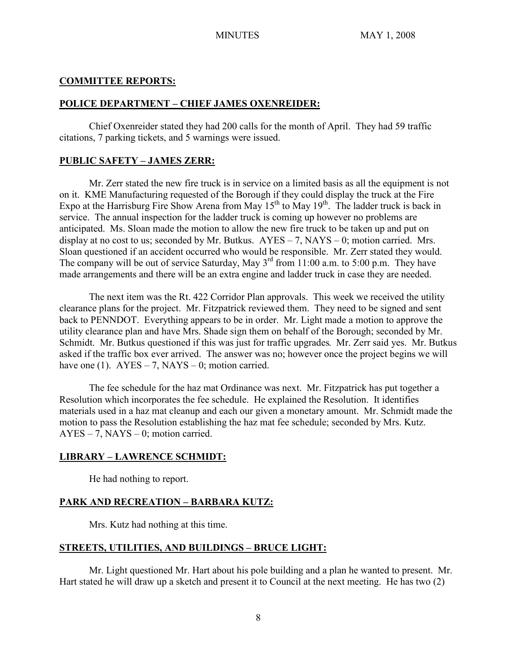#### **COMMITTEE REPORTS:**

#### **POLICE DEPARTMENT – CHIEF JAMES OXENREIDER:**

Chief Oxenreider stated they had 200 calls for the month of April. They had 59 traffic citations, 7 parking tickets, and 5 warnings were issued.

## **PUBLIC SAFETY – JAMES ZERR:**

Mr. Zerr stated the new fire truck is in service on a limited basis as all the equipment is not on it. KME Manufacturing requested of the Borough if they could display the truck at the Fire Expo at the Harrisburg Fire Show Arena from May  $15^{th}$  to May  $19^{th}$ . The ladder truck is back in service. The annual inspection for the ladder truck is coming up however no problems are anticipated. Ms. Sloan made the motion to allow the new fire truck to be taken up and put on display at no cost to us; seconded by Mr. Butkus.  $AYES - 7$ ,  $NAYS - 0$ ; motion carried. Mrs. Sloan questioned if an accident occurred who would be responsible. Mr. Zerr stated they would. The company will be out of service Saturday, May  $3<sup>rd</sup>$  from 11:00 a.m. to 5:00 p.m. They have made arrangements and there will be an extra engine and ladder truck in case they are needed.

The next item was the Rt. 422 Corridor Plan approvals. This week we received the utility clearance plans for the project. Mr. Fitzpatrick reviewed them. They need to be signed and sent back to PENNDOT. Everything appears to be in order. Mr. Light made a motion to approve the utility clearance plan and have Mrs. Shade sign them on behalf of the Borough; seconded by Mr. Schmidt. Mr. Butkus questioned if this was just for traffic upgrades. Mr. Zerr said yes. Mr. Butkus asked if the traffic box ever arrived. The answer was no; however once the project begins we will have one (1).  $AYES - 7$ ,  $NAYS - 0$ ; motion carried.

The fee schedule for the haz mat Ordinance was next. Mr. Fitzpatrick has put together a Resolution which incorporates the fee schedule. He explained the Resolution. It identifies materials used in a haz mat cleanup and each our given a monetary amount. Mr. Schmidt made the motion to pass the Resolution establishing the haz mat fee schedule; seconded by Mrs. Kutz.  $AYES - 7$ ,  $NAYS - 0$ ; motion carried.

## **LIBRARY – LAWRENCE SCHMIDT:**

He had nothing to report.

## **PARK AND RECREATION – BARBARA KUTZ:**

Mrs. Kutz had nothing at this time.

## **STREETS, UTILITIES, AND BUILDINGS – BRUCE LIGHT:**

Mr. Light questioned Mr. Hart about his pole building and a plan he wanted to present. Mr. Hart stated he will draw up a sketch and present it to Council at the next meeting. He has two (2)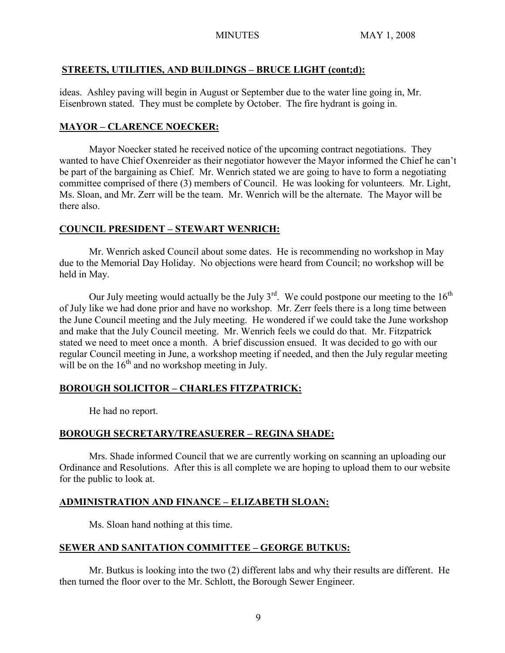# **STREETS, UTILITIES, AND BUILDINGS – BRUCE LIGHT (cont;d):**

ideas. Ashley paving will begin in August or September due to the water line going in, Mr. Eisenbrown stated. They must be complete by October. The fire hydrant is going in.

# **MAYOR – CLARENCE NOECKER:**

Mayor Noecker stated he received notice of the upcoming contract negotiations. They wanted to have Chief Oxenreider as their negotiator however the Mayor informed the Chief he can't be part of the bargaining as Chief. Mr. Wenrich stated we are going to have to form a negotiating committee comprised of there (3) members of Council. He was looking for volunteers. Mr. Light, Ms. Sloan, and Mr. Zerr will be the team. Mr. Wenrich will be the alternate. The Mayor will be there also.

## **COUNCIL PRESIDENT – STEWART WENRICH:**

Mr. Wenrich asked Council about some dates. He is recommending no workshop in May due to the Memorial Day Holiday. No objections were heard from Council; no workshop will be held in May.

Our July meeting would actually be the July  $3^{rd}$ . We could postpone our meeting to the  $16^{th}$ of July like we had done prior and have no workshop. Mr. Zerr feels there is a long time between the June Council meeting and the July meeting. He wondered if we could take the June workshop and make that the July Council meeting. Mr. Wenrich feels we could do that. Mr. Fitzpatrick stated we need to meet once a month. A brief discussion ensued. It was decided to go with our regular Council meeting in June, a workshop meeting if needed, and then the July regular meeting will be on the  $16<sup>th</sup>$  and no workshop meeting in July.

# **BOROUGH SOLICITOR – CHARLES FITZPATRICK:**

He had no report.

# **BOROUGH SECRETARY/TREASUERER – REGINA SHADE:**

 Mrs. Shade informed Council that we are currently working on scanning an uploading our Ordinance and Resolutions. After this is all complete we are hoping to upload them to our website for the public to look at.

# **ADMINISTRATION AND FINANCE – ELIZABETH SLOAN:**

Ms. Sloan hand nothing at this time.

# **SEWER AND SANITATION COMMITTEE – GEORGE BUTKUS:**

Mr. Butkus is looking into the two (2) different labs and why their results are different. He then turned the floor over to the Mr. Schlott, the Borough Sewer Engineer.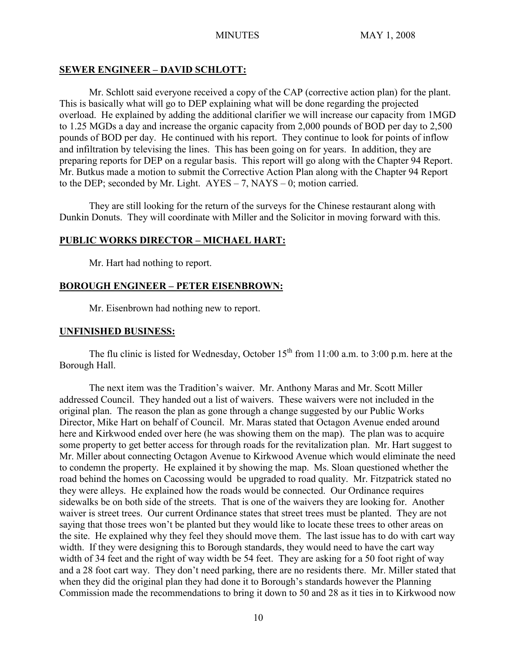## **SEWER ENGINEER – DAVID SCHLOTT:**

Mr. Schlott said everyone received a copy of the CAP (corrective action plan) for the plant. This is basically what will go to DEP explaining what will be done regarding the projected overload. He explained by adding the additional clarifier we will increase our capacity from 1MGD to 1.25 MGDs a day and increase the organic capacity from 2,000 pounds of BOD per day to 2,500 pounds of BOD per day. He continued with his report. They continue to look for points of inflow and infiltration by televising the lines. This has been going on for years. In addition, they are preparing reports for DEP on a regular basis. This report will go along with the Chapter 94 Report. Mr. Butkus made a motion to submit the Corrective Action Plan along with the Chapter 94 Report to the DEP; seconded by Mr. Light.  $AYES - 7$ ,  $NAYS - 0$ ; motion carried.

They are still looking for the return of the surveys for the Chinese restaurant along with Dunkin Donuts. They will coordinate with Miller and the Solicitor in moving forward with this.

# **PUBLIC WORKS DIRECTOR – MICHAEL HART:**

Mr. Hart had nothing to report.

## **BOROUGH ENGINEER – PETER EISENBROWN:**

Mr. Eisenbrown had nothing new to report.

## **UNFINISHED BUSINESS:**

The flu clinic is listed for Wednesday, October  $15<sup>th</sup>$  from 11:00 a.m. to 3:00 p.m. here at the Borough Hall.

The next item was the Tradition's waiver. Mr. Anthony Maras and Mr. Scott Miller addressed Council. They handed out a list of waivers. These waivers were not included in the original plan. The reason the plan as gone through a change suggested by our Public Works Director, Mike Hart on behalf of Council. Mr. Maras stated that Octagon Avenue ended around here and Kirkwood ended over here (he was showing them on the map). The plan was to acquire some property to get better access for through roads for the revitalization plan. Mr. Hart suggest to Mr. Miller about connecting Octagon Avenue to Kirkwood Avenue which would eliminate the need to condemn the property. He explained it by showing the map. Ms. Sloan questioned whether the road behind the homes on Cacossing would be upgraded to road quality. Mr. Fitzpatrick stated no they were alleys. He explained how the roads would be connected. Our Ordinance requires sidewalks be on both side of the streets. That is one of the waivers they are looking for. Another waiver is street trees. Our current Ordinance states that street trees must be planted. They are not saying that those trees won't be planted but they would like to locate these trees to other areas on the site. He explained why they feel they should move them. The last issue has to do with cart way width. If they were designing this to Borough standards, they would need to have the cart way width of 34 feet and the right of way width be 54 feet. They are asking for a 50 foot right of way and a 28 foot cart way. They don't need parking, there are no residents there. Mr. Miller stated that when they did the original plan they had done it to Borough's standards however the Planning Commission made the recommendations to bring it down to 50 and 28 as it ties in to Kirkwood now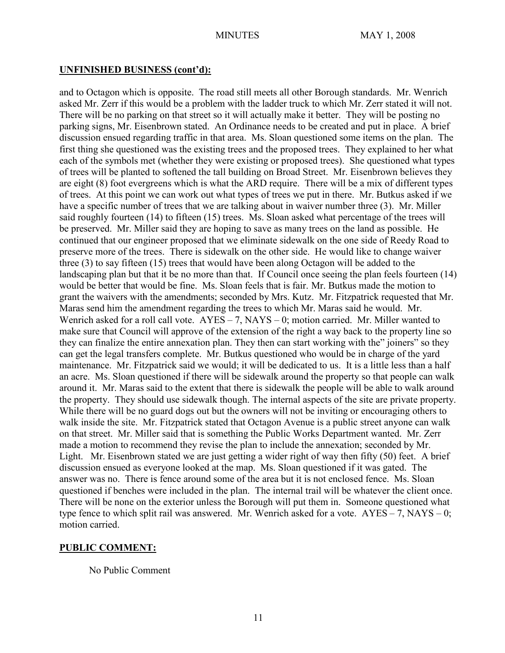#### **UNFINISHED BUSINESS (cont'd):**

and to Octagon which is opposite. The road still meets all other Borough standards. Mr. Wenrich asked Mr. Zerr if this would be a problem with the ladder truck to which Mr. Zerr stated it will not. There will be no parking on that street so it will actually make it better. They will be posting no parking signs, Mr. Eisenbrown stated. An Ordinance needs to be created and put in place. A brief discussion ensued regarding traffic in that area. Ms. Sloan questioned some items on the plan. The first thing she questioned was the existing trees and the proposed trees. They explained to her what each of the symbols met (whether they were existing or proposed trees). She questioned what types of trees will be planted to softened the tall building on Broad Street. Mr. Eisenbrown believes they are eight (8) foot evergreens which is what the ARD require. There will be a mix of different types of trees. At this point we can work out what types of trees we put in there. Mr. Butkus asked if we have a specific number of trees that we are talking about in waiver number three (3). Mr. Miller said roughly fourteen (14) to fifteen (15) trees. Ms. Sloan asked what percentage of the trees will be preserved. Mr. Miller said they are hoping to save as many trees on the land as possible. He continued that our engineer proposed that we eliminate sidewalk on the one side of Reedy Road to preserve more of the trees. There is sidewalk on the other side. He would like to change waiver three (3) to say fifteen (15) trees that would have been along Octagon will be added to the landscaping plan but that it be no more than that. If Council once seeing the plan feels fourteen (14) would be better that would be fine. Ms. Sloan feels that is fair. Mr. Butkus made the motion to grant the waivers with the amendments; seconded by Mrs. Kutz. Mr. Fitzpatrick requested that Mr. Maras send him the amendment regarding the trees to which Mr. Maras said he would. Mr. Wenrich asked for a roll call vote. AYES – 7, NAYS – 0; motion carried. Mr. Miller wanted to make sure that Council will approve of the extension of the right a way back to the property line so they can finalize the entire annexation plan. They then can start working with the" joiners" so they can get the legal transfers complete. Mr. Butkus questioned who would be in charge of the yard maintenance. Mr. Fitzpatrick said we would; it will be dedicated to us. It is a little less than a half an acre. Ms. Sloan questioned if there will be sidewalk around the property so that people can walk around it. Mr. Maras said to the extent that there is sidewalk the people will be able to walk around the property. They should use sidewalk though. The internal aspects of the site are private property. While there will be no guard dogs out but the owners will not be inviting or encouraging others to walk inside the site. Mr. Fitzpatrick stated that Octagon Avenue is a public street anyone can walk on that street. Mr. Miller said that is something the Public Works Department wanted. Mr. Zerr made a motion to recommend they revise the plan to include the annexation; seconded by Mr. Light. Mr. Eisenbrown stated we are just getting a wider right of way then fifty (50) feet. A brief discussion ensued as everyone looked at the map. Ms. Sloan questioned if it was gated. The answer was no. There is fence around some of the area but it is not enclosed fence. Ms. Sloan questioned if benches were included in the plan. The internal trail will be whatever the client once. There will be none on the exterior unless the Borough will put them in. Someone questioned what type fence to which split rail was answered. Mr. Wenrich asked for a vote.  $AYES - 7$ ,  $NAYS - 0$ ; motion carried.

#### **PUBLIC COMMENT:**

No Public Comment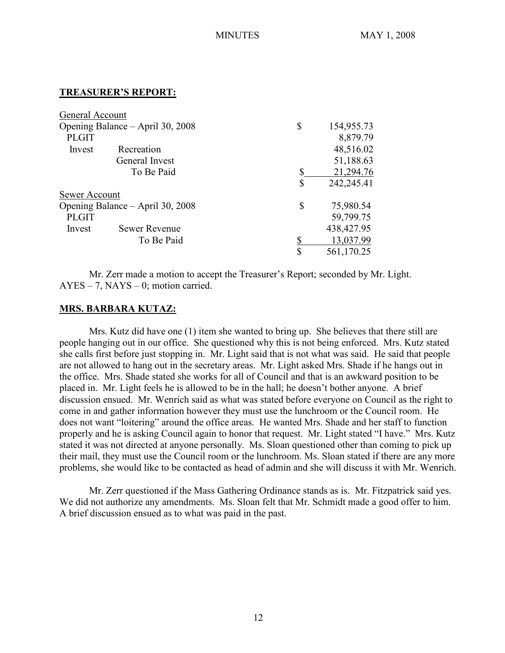#### **TREASURER'S REPORT:**

| General Account                  |                      |                  |
|----------------------------------|----------------------|------------------|
| Opening Balance – April 30, 2008 |                      | \$<br>154,955.73 |
| <b>PLGIT</b>                     |                      | 8,879.79         |
| Invest                           | Recreation           | 48,516.02        |
| General Invest<br>To Be Paid     |                      | 51,188.63        |
|                                  |                      | \$<br>21,294.76  |
|                                  |                      | \$<br>242,245.41 |
| Sewer Account                    |                      |                  |
| Opening Balance – April 30, 2008 |                      | \$<br>75,980.54  |
| <b>PLGIT</b>                     |                      | 59,799.75        |
| Invest                           | <b>Sewer Revenue</b> | 438, 427. 95     |
|                                  | To Be Paid           | 13,037.99        |
|                                  |                      | \$<br>561,170.25 |

Mr. Zerr made a motion to accept the Treasurer's Report; seconded by Mr. Light. AYES – 7, NAYS – 0; motion carried.

## **MRS. BARBARA KUTAZ:**

Mrs. Kutz did have one (1) item she wanted to bring up. She believes that there still are people hanging out in our office. She questioned why this is not being enforced. Mrs. Kutz stated she calls first before just stopping in. Mr. Light said that is not what was said. He said that people are not allowed to hang out in the secretary areas. Mr. Light asked Mrs. Shade if he hangs out in the office. Mrs. Shade stated she works for all of Council and that is an awkward position to be placed in. Mr. Light feels he is allowed to be in the hall; he doesn't bother anyone. A brief discussion ensued. Mr. Wenrich said as what was stated before everyone on Council as the right to come in and gather information however they must use the lunchroom or the Council room. He does not want "loitering" around the office areas. He wanted Mrs. Shade and her staff to function properly and he is asking Council again to honor that request. Mr. Light stated "I have." Mrs. Kutz stated it was not directed at anyone personally. Ms. Sloan questioned other than coming to pick up their mail, they must use the Council room or the lunchroom. Ms. Sloan stated if there are any more problems, she would like to be contacted as head of admin and she will discuss it with Mr. Wenrich.

Mr. Zerr questioned if the Mass Gathering Ordinance stands as is. Mr. Fitzpatrick said yes. We did not authorize any amendments. Ms. Sloan felt that Mr. Schmidt made a good offer to him. A brief discussion ensued as to what was paid in the past.